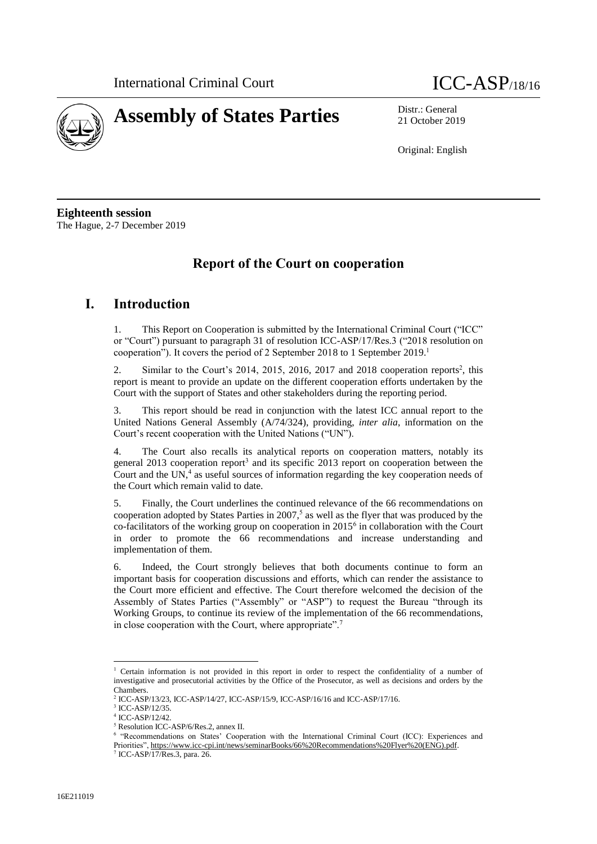



21 October 2019

Original: English

**Eighteenth session** The Hague, 2-7 December 2019

## **Report of the Court on cooperation**

## **I. Introduction**

1. This Report on Cooperation is submitted by the International Criminal Court ("ICC" or "Court") pursuant to paragraph 31 of resolution ICC-ASP/17/Res.3 ("2018 resolution on cooperation"). It covers the period of 2 September 2018 to 1 September 2019. 1

2. Similar to the Court's 2014, 2015, 2016, 2017 and 2018 cooperation reports<sup>2</sup>, this report is meant to provide an update on the different cooperation efforts undertaken by the Court with the support of States and other stakeholders during the reporting period.

3. This report should be read in conjunction with the latest ICC annual report to the United Nations General Assembly (A/74/324), providing, *inter alia*, information on the Court's recent cooperation with the United Nations ("UN").

4. The Court also recalls its analytical reports on cooperation matters, notably its general 2013 cooperation report<sup>3</sup> and its specific 2013 report on cooperation between the Court and the UN, $4$  as useful sources of information regarding the key cooperation needs of the Court which remain valid to date.

5. Finally, the Court underlines the continued relevance of the 66 recommendations on cooperation adopted by States Parties in  $2007<sup>5</sup>$  as well as the flyer that was produced by the co-facilitators of the working group on cooperation in 2015<sup>6</sup> in collaboration with the Court in order to promote the 66 recommendations and increase understanding and implementation of them.

6. Indeed, the Court strongly believes that both documents continue to form an important basis for cooperation discussions and efforts, which can render the assistance to the Court more efficient and effective. The Court therefore welcomed the decision of the Assembly of States Parties ("Assembly" or "ASP") to request the Bureau "through its Working Groups, to continue its review of the implementation of the 66 recommendations, in close cooperation with the Court, where appropriate".<sup>7</sup>

 $\overline{a}$ 

<sup>&</sup>lt;sup>1</sup> Certain information is not provided in this report in order to respect the confidentiality of a number of investigative and prosecutorial activities by the Office of the Prosecutor, as well as decisions and orders by the Chambers.

<sup>2</sup> ICC-ASP/13/23, ICC-ASP/14/27, ICC-ASP/15/9, ICC-ASP/16/16 and ICC-ASP/17/16.

<sup>3</sup> ICC-ASP/12/35.

<sup>4</sup> ICC-ASP/12/42.

<sup>5</sup> Resolution ICC-ASP/6/Res.2, annex II.

<sup>6</sup> "Recommendations on States' Cooperation with the International Criminal Court (ICC): Experiences and Priorities"[, https://www.icc-cpi.int/news/seminarBooks/66%20Recommendations%20Flyer%20\(ENG\).pdf.](https://www.icc-cpi.int/news/seminarBooks/66%20Recommendations%20Flyer%20(ENG).pdf)

<sup>7</sup> ICC-ASP/17/Res.3, para. 26.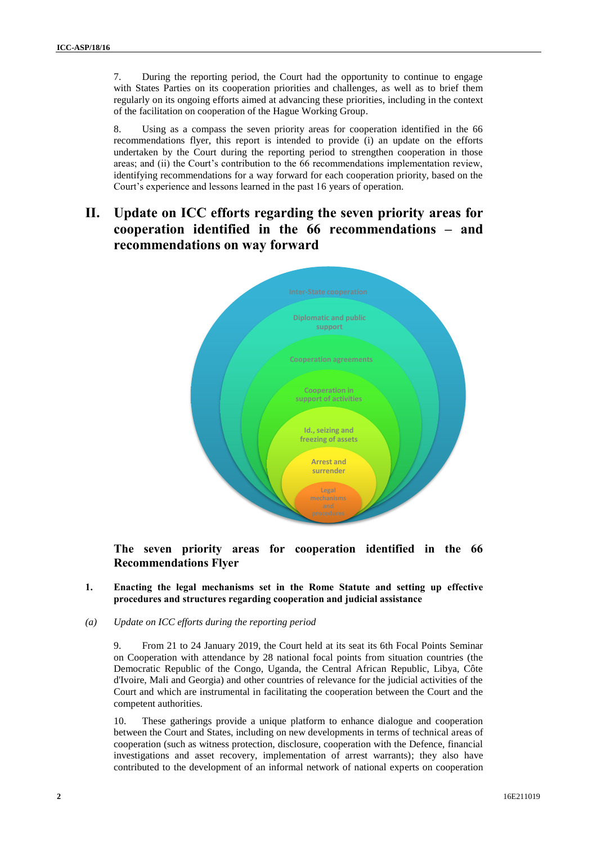7. During the reporting period, the Court had the opportunity to continue to engage with States Parties on its cooperation priorities and challenges, as well as to brief them regularly on its ongoing efforts aimed at advancing these priorities, including in the context of the facilitation on cooperation of the Hague Working Group.

8. Using as a compass the seven priority areas for cooperation identified in the 66 recommendations flyer, this report is intended to provide (i) an update on the efforts undertaken by the Court during the reporting period to strengthen cooperation in those areas; and (ii) the Court's contribution to the 66 recommendations implementation review, identifying recommendations for a way forward for each cooperation priority, based on the Court's experience and lessons learned in the past 16 years of operation.

# **II. Update on ICC efforts regarding the seven priority areas for cooperation identified in the 66 recommendations – and recommendations on way forward**



**The seven priority areas for cooperation identified in the 66 Recommendations Flyer**

- **1. Enacting the legal mechanisms set in the Rome Statute and setting up effective procedures and structures regarding cooperation and judicial assistance**
- *(a) Update on ICC efforts during the reporting period*

9. From 21 to 24 January 2019, the Court held at its seat its 6th Focal Points Seminar on Cooperation with attendance by 28 national focal points from situation countries (the Democratic Republic of the Congo, Uganda, the Central African Republic, Libya, Côte d'Ivoire, Mali and Georgia) and other countries of relevance for the judicial activities of the Court and which are instrumental in facilitating the cooperation between the Court and the competent authorities.

10. These gatherings provide a unique platform to enhance dialogue and cooperation between the Court and States, including on new developments in terms of technical areas of cooperation (such as witness protection, disclosure, cooperation with the Defence, financial investigations and asset recovery, implementation of arrest warrants); they also have contributed to the development of an informal network of national experts on cooperation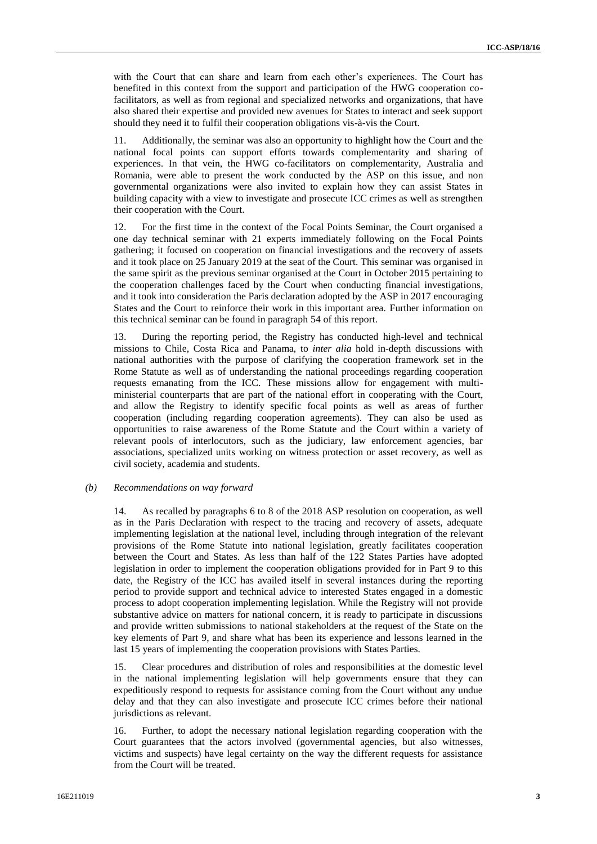with the Court that can share and learn from each other's experiences. The Court has benefited in this context from the support and participation of the HWG cooperation cofacilitators, as well as from regional and specialized networks and organizations, that have also shared their expertise and provided new avenues for States to interact and seek support should they need it to fulfil their cooperation obligations vis-à-vis the Court.

11. Additionally, the seminar was also an opportunity to highlight how the Court and the national focal points can support efforts towards complementarity and sharing of experiences. In that vein, the HWG co-facilitators on complementarity, Australia and Romania, were able to present the work conducted by the ASP on this issue, and non governmental organizations were also invited to explain how they can assist States in building capacity with a view to investigate and prosecute ICC crimes as well as strengthen their cooperation with the Court.

12. For the first time in the context of the Focal Points Seminar, the Court organised a one day technical seminar with 21 experts immediately following on the Focal Points gathering; it focused on cooperation on financial investigations and the recovery of assets and it took place on 25 January 2019 at the seat of the Court. This seminar was organised in the same spirit as the previous seminar organised at the Court in October 2015 pertaining to the cooperation challenges faced by the Court when conducting financial investigations, and it took into consideration the Paris declaration adopted by the ASP in 2017 encouraging States and the Court to reinforce their work in this important area. Further information on this technical seminar can be found in paragraph 54 of this report.

13. During the reporting period, the Registry has conducted high-level and technical missions to Chile, Costa Rica and Panama, to *inter alia* hold in-depth discussions with national authorities with the purpose of clarifying the cooperation framework set in the Rome Statute as well as of understanding the national proceedings regarding cooperation requests emanating from the ICC. These missions allow for engagement with multiministerial counterparts that are part of the national effort in cooperating with the Court, and allow the Registry to identify specific focal points as well as areas of further cooperation (including regarding cooperation agreements). They can also be used as opportunities to raise awareness of the Rome Statute and the Court within a variety of relevant pools of interlocutors, such as the judiciary, law enforcement agencies, bar associations, specialized units working on witness protection or asset recovery, as well as civil society, academia and students.

## *(b) Recommendations on way forward*

14. As recalled by paragraphs 6 to 8 of the 2018 ASP resolution on cooperation, as well as in the Paris Declaration with respect to the tracing and recovery of assets, adequate implementing legislation at the national level, including through integration of the relevant provisions of the Rome Statute into national legislation, greatly facilitates cooperation between the Court and States. As less than half of the 122 States Parties have adopted legislation in order to implement the cooperation obligations provided for in Part 9 to this date, the Registry of the ICC has availed itself in several instances during the reporting period to provide support and technical advice to interested States engaged in a domestic process to adopt cooperation implementing legislation. While the Registry will not provide substantive advice on matters for national concern, it is ready to participate in discussions and provide written submissions to national stakeholders at the request of the State on the key elements of Part 9, and share what has been its experience and lessons learned in the last 15 years of implementing the cooperation provisions with States Parties.

15. Clear procedures and distribution of roles and responsibilities at the domestic level in the national implementing legislation will help governments ensure that they can expeditiously respond to requests for assistance coming from the Court without any undue delay and that they can also investigate and prosecute ICC crimes before their national jurisdictions as relevant.

16. Further, to adopt the necessary national legislation regarding cooperation with the Court guarantees that the actors involved (governmental agencies, but also witnesses, victims and suspects) have legal certainty on the way the different requests for assistance from the Court will be treated.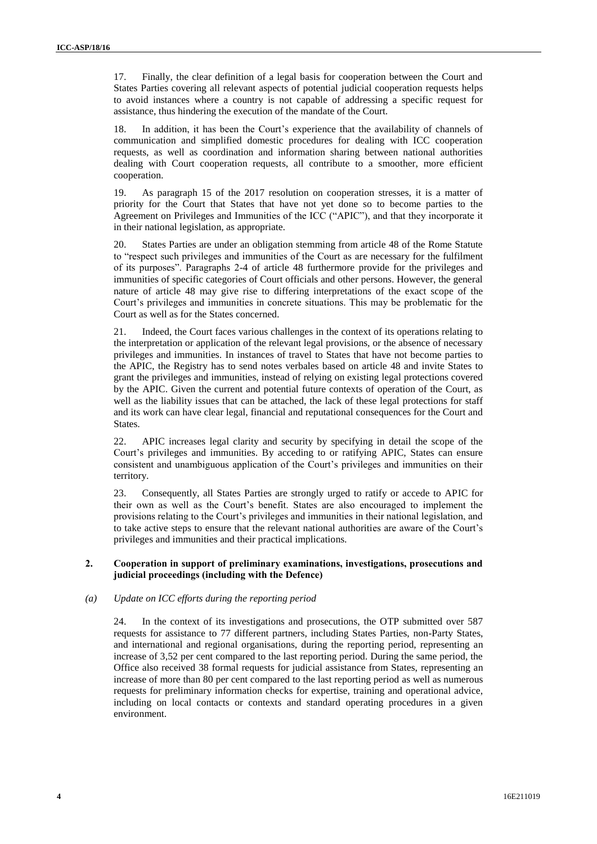17. Finally, the clear definition of a legal basis for cooperation between the Court and States Parties covering all relevant aspects of potential judicial cooperation requests helps to avoid instances where a country is not capable of addressing a specific request for assistance, thus hindering the execution of the mandate of the Court.

18. In addition, it has been the Court's experience that the availability of channels of communication and simplified domestic procedures for dealing with ICC cooperation requests, as well as coordination and information sharing between national authorities dealing with Court cooperation requests, all contribute to a smoother, more efficient cooperation.

19. As paragraph 15 of the 2017 resolution on cooperation stresses, it is a matter of priority for the Court that States that have not yet done so to become parties to the Agreement on Privileges and Immunities of the ICC ("APIC"), and that they incorporate it in their national legislation, as appropriate.

States Parties are under an obligation stemming from article 48 of the Rome Statute to "respect such privileges and immunities of the Court as are necessary for the fulfilment of its purposes". Paragraphs 2-4 of article 48 furthermore provide for the privileges and immunities of specific categories of Court officials and other persons. However, the general nature of article 48 may give rise to differing interpretations of the exact scope of the Court's privileges and immunities in concrete situations. This may be problematic for the Court as well as for the States concerned.

21. Indeed, the Court faces various challenges in the context of its operations relating to the interpretation or application of the relevant legal provisions, or the absence of necessary privileges and immunities. In instances of travel to States that have not become parties to the APIC, the Registry has to send notes verbales based on article 48 and invite States to grant the privileges and immunities, instead of relying on existing legal protections covered by the APIC. Given the current and potential future contexts of operation of the Court, as well as the liability issues that can be attached, the lack of these legal protections for staff and its work can have clear legal, financial and reputational consequences for the Court and States.

22. APIC increases legal clarity and security by specifying in detail the scope of the Court's privileges and immunities. By acceding to or ratifying APIC, States can ensure consistent and unambiguous application of the Court's privileges and immunities on their territory.

23. Consequently, all States Parties are strongly urged to ratify or accede to APIC for their own as well as the Court's benefit. States are also encouraged to implement the provisions relating to the Court's privileges and immunities in their national legislation, and to take active steps to ensure that the relevant national authorities are aware of the Court's privileges and immunities and their practical implications.

## **2. Cooperation in support of preliminary examinations, investigations, prosecutions and judicial proceedings (including with the Defence)**

#### *(a) Update on ICC efforts during the reporting period*

24. In the context of its investigations and prosecutions, the OTP submitted over 587 requests for assistance to 77 different partners, including States Parties, non-Party States, and international and regional organisations, during the reporting period, representing an increase of 3,52 per cent compared to the last reporting period. During the same period, the Office also received 38 formal requests for judicial assistance from States, representing an increase of more than 80 per cent compared to the last reporting period as well as numerous requests for preliminary information checks for expertise, training and operational advice, including on local contacts or contexts and standard operating procedures in a given environment.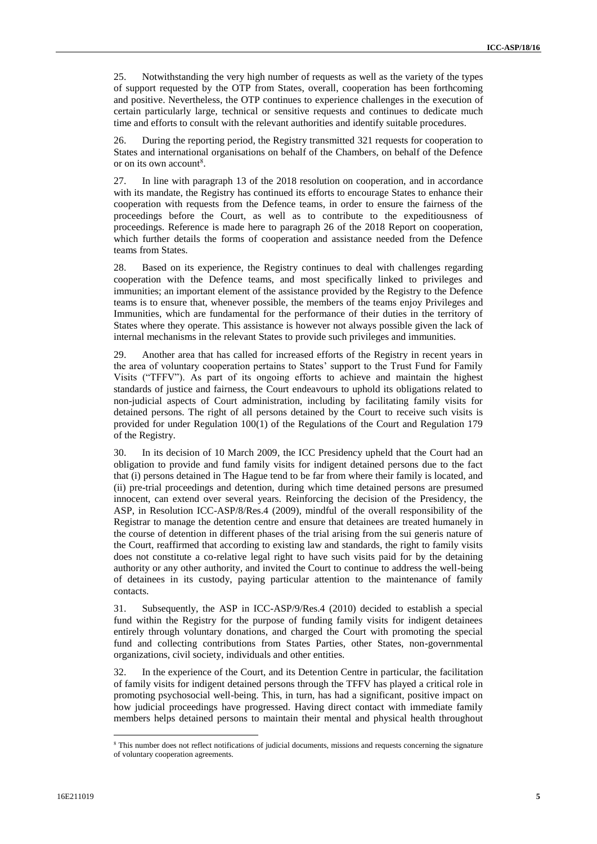25. Notwithstanding the very high number of requests as well as the variety of the types of support requested by the OTP from States, overall, cooperation has been forthcoming and positive. Nevertheless, the OTP continues to experience challenges in the execution of certain particularly large, technical or sensitive requests and continues to dedicate much time and efforts to consult with the relevant authorities and identify suitable procedures.

26. During the reporting period, the Registry transmitted 321 requests for cooperation to States and international organisations on behalf of the Chambers, on behalf of the Defence or on its own account<sup>8</sup>.

27. In line with paragraph 13 of the 2018 resolution on cooperation, and in accordance with its mandate, the Registry has continued its efforts to encourage States to enhance their cooperation with requests from the Defence teams, in order to ensure the fairness of the proceedings before the Court, as well as to contribute to the expeditiousness of proceedings. Reference is made here to paragraph 26 of the 2018 Report on cooperation, which further details the forms of cooperation and assistance needed from the Defence teams from States.

28. Based on its experience, the Registry continues to deal with challenges regarding cooperation with the Defence teams, and most specifically linked to privileges and immunities; an important element of the assistance provided by the Registry to the Defence teams is to ensure that, whenever possible, the members of the teams enjoy Privileges and Immunities, which are fundamental for the performance of their duties in the territory of States where they operate. This assistance is however not always possible given the lack of internal mechanisms in the relevant States to provide such privileges and immunities.

29. Another area that has called for increased efforts of the Registry in recent years in the area of voluntary cooperation pertains to States' support to the Trust Fund for Family Visits ("TFFV"). As part of its ongoing efforts to achieve and maintain the highest standards of justice and fairness, the Court endeavours to uphold its obligations related to non-judicial aspects of Court administration, including by facilitating family visits for detained persons. The right of all persons detained by the Court to receive such visits is provided for under Regulation 100(1) of the Regulations of the Court and Regulation 179 of the Registry.

30. In its decision of 10 March 2009, the ICC Presidency upheld that the Court had an obligation to provide and fund family visits for indigent detained persons due to the fact that (i) persons detained in The Hague tend to be far from where their family is located, and (ii) pre-trial proceedings and detention, during which time detained persons are presumed innocent, can extend over several years. Reinforcing the decision of the Presidency, the ASP, in Resolution ICC-ASP/8/Res.4 (2009), mindful of the overall responsibility of the Registrar to manage the detention centre and ensure that detainees are treated humanely in the course of detention in different phases of the trial arising from the sui generis nature of the Court, reaffirmed that according to existing law and standards, the right to family visits does not constitute a co-relative legal right to have such visits paid for by the detaining authority or any other authority, and invited the Court to continue to address the well-being of detainees in its custody, paying particular attention to the maintenance of family contacts.

31. Subsequently, the ASP in ICC-ASP/9/Res.4 (2010) decided to establish a special fund within the Registry for the purpose of funding family visits for indigent detainees entirely through voluntary donations, and charged the Court with promoting the special fund and collecting contributions from States Parties, other States, non-governmental organizations, civil society, individuals and other entities.

32. In the experience of the Court, and its Detention Centre in particular, the facilitation of family visits for indigent detained persons through the TFFV has played a critical role in promoting psychosocial well-being. This, in turn, has had a significant, positive impact on how judicial proceedings have progressed. Having direct contact with immediate family members helps detained persons to maintain their mental and physical health throughout

 $\overline{a}$ 

<sup>&</sup>lt;sup>8</sup> This number does not reflect notifications of judicial documents, missions and requests concerning the signature of voluntary cooperation agreements.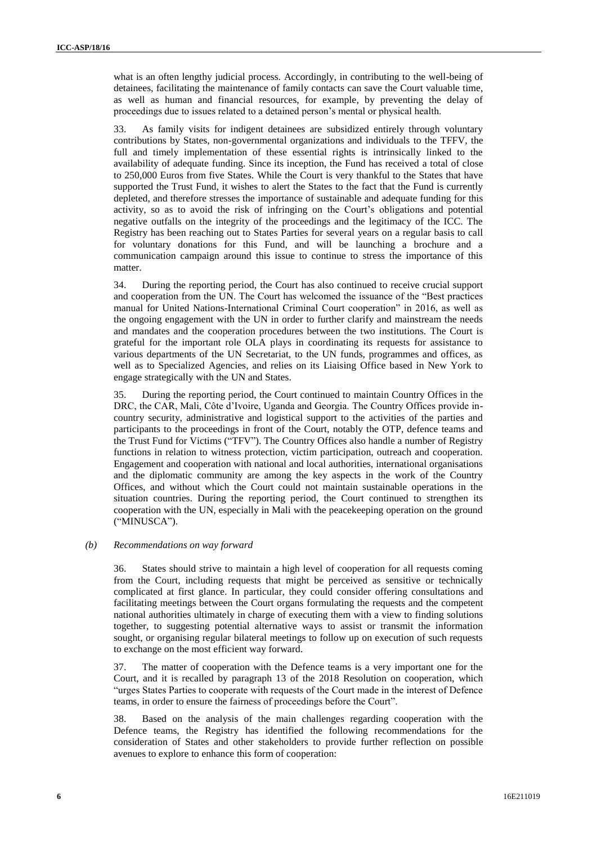what is an often lengthy judicial process. Accordingly, in contributing to the well-being of detainees, facilitating the maintenance of family contacts can save the Court valuable time, as well as human and financial resources, for example, by preventing the delay of proceedings due to issues related to a detained person's mental or physical health.

33. As family visits for indigent detainees are subsidized entirely through voluntary contributions by States, non-governmental organizations and individuals to the TFFV, the full and timely implementation of these essential rights is intrinsically linked to the availability of adequate funding. Since its inception, the Fund has received a total of close to 250,000 Euros from five States. While the Court is very thankful to the States that have supported the Trust Fund, it wishes to alert the States to the fact that the Fund is currently depleted, and therefore stresses the importance of sustainable and adequate funding for this activity, so as to avoid the risk of infringing on the Court's obligations and potential negative outfalls on the integrity of the proceedings and the legitimacy of the ICC. The Registry has been reaching out to States Parties for several years on a regular basis to call for voluntary donations for this Fund, and will be launching a brochure and a communication campaign around this issue to continue to stress the importance of this matter.

34. During the reporting period, the Court has also continued to receive crucial support and cooperation from the UN. The Court has welcomed the issuance of the "Best practices manual for United Nations-International Criminal Court cooperation" in 2016, as well as the ongoing engagement with the UN in order to further clarify and mainstream the needs and mandates and the cooperation procedures between the two institutions. The Court is grateful for the important role OLA plays in coordinating its requests for assistance to various departments of the UN Secretariat, to the UN funds, programmes and offices, as well as to Specialized Agencies, and relies on its Liaising Office based in New York to engage strategically with the UN and States.

35. During the reporting period, the Court continued to maintain Country Offices in the DRC, the CAR, Mali, Côte d'Ivoire, Uganda and Georgia. The Country Offices provide incountry security, administrative and logistical support to the activities of the parties and participants to the proceedings in front of the Court, notably the OTP, defence teams and the Trust Fund for Victims ("TFV"). The Country Offices also handle a number of Registry functions in relation to witness protection, victim participation, outreach and cooperation. Engagement and cooperation with national and local authorities, international organisations and the diplomatic community are among the key aspects in the work of the Country Offices, and without which the Court could not maintain sustainable operations in the situation countries. During the reporting period, the Court continued to strengthen its cooperation with the UN, especially in Mali with the peacekeeping operation on the ground ("MINUSCA").

#### *(b) Recommendations on way forward*

36. States should strive to maintain a high level of cooperation for all requests coming from the Court, including requests that might be perceived as sensitive or technically complicated at first glance. In particular, they could consider offering consultations and facilitating meetings between the Court organs formulating the requests and the competent national authorities ultimately in charge of executing them with a view to finding solutions together, to suggesting potential alternative ways to assist or transmit the information sought, or organising regular bilateral meetings to follow up on execution of such requests to exchange on the most efficient way forward.

37. The matter of cooperation with the Defence teams is a very important one for the Court, and it is recalled by paragraph 13 of the 2018 Resolution on cooperation, which "urges States Parties to cooperate with requests of the Court made in the interest of Defence teams, in order to ensure the fairness of proceedings before the Court".

38. Based on the analysis of the main challenges regarding cooperation with the Defence teams, the Registry has identified the following recommendations for the consideration of States and other stakeholders to provide further reflection on possible avenues to explore to enhance this form of cooperation: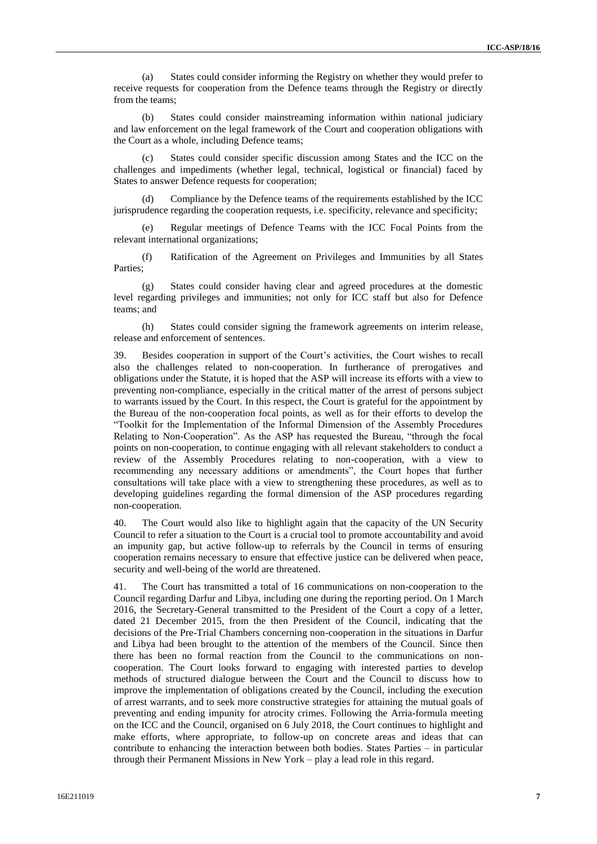(a) States could consider informing the Registry on whether they would prefer to receive requests for cooperation from the Defence teams through the Registry or directly from the teams;

(b) States could consider mainstreaming information within national judiciary and law enforcement on the legal framework of the Court and cooperation obligations with the Court as a whole, including Defence teams;

(c) States could consider specific discussion among States and the ICC on the challenges and impediments (whether legal, technical, logistical or financial) faced by States to answer Defence requests for cooperation;

Compliance by the Defence teams of the requirements established by the ICC jurisprudence regarding the cooperation requests, i.e. specificity, relevance and specificity;

(e) Regular meetings of Defence Teams with the ICC Focal Points from the relevant international organizations;

(f) Ratification of the Agreement on Privileges and Immunities by all States Parties;

(g) States could consider having clear and agreed procedures at the domestic level regarding privileges and immunities; not only for ICC staff but also for Defence teams; and

(h) States could consider signing the framework agreements on interim release, release and enforcement of sentences.

39. Besides cooperation in support of the Court's activities, the Court wishes to recall also the challenges related to non-cooperation. In furtherance of prerogatives and obligations under the Statute, it is hoped that the ASP will increase its efforts with a view to preventing non-compliance, especially in the critical matter of the arrest of persons subject to warrants issued by the Court. In this respect, the Court is grateful for the appointment by the Bureau of the non-cooperation focal points, as well as for their efforts to develop the "Toolkit for the Implementation of the Informal Dimension of the Assembly Procedures Relating to Non-Cooperation". As the ASP has requested the Bureau, "through the focal points on non-cooperation, to continue engaging with all relevant stakeholders to conduct a review of the Assembly Procedures relating to non-cooperation, with a view to recommending any necessary additions or amendments", the Court hopes that further consultations will take place with a view to strengthening these procedures, as well as to developing guidelines regarding the formal dimension of the ASP procedures regarding non-cooperation.

40. The Court would also like to highlight again that the capacity of the UN Security Council to refer a situation to the Court is a crucial tool to promote accountability and avoid an impunity gap, but active follow-up to referrals by the Council in terms of ensuring cooperation remains necessary to ensure that effective justice can be delivered when peace, security and well-being of the world are threatened.

41. The Court has transmitted a total of 16 communications on non-cooperation to the Council regarding Darfur and Libya, including one during the reporting period. On 1 March 2016, the Secretary-General transmitted to the President of the Court a copy of a letter, dated 21 December 2015, from the then President of the Council, indicating that the decisions of the Pre-Trial Chambers concerning non-cooperation in the situations in Darfur and Libya had been brought to the attention of the members of the Council. Since then there has been no formal reaction from the Council to the communications on noncooperation. The Court looks forward to engaging with interested parties to develop methods of structured dialogue between the Court and the Council to discuss how to improve the implementation of obligations created by the Council, including the execution of arrest warrants, and to seek more constructive strategies for attaining the mutual goals of preventing and ending impunity for atrocity crimes. Following the Arria-formula meeting on the ICC and the Council, organised on 6 July 2018, the Court continues to highlight and make efforts, where appropriate, to follow-up on concrete areas and ideas that can contribute to enhancing the interaction between both bodies. States Parties – in particular through their Permanent Missions in New York – play a lead role in this regard.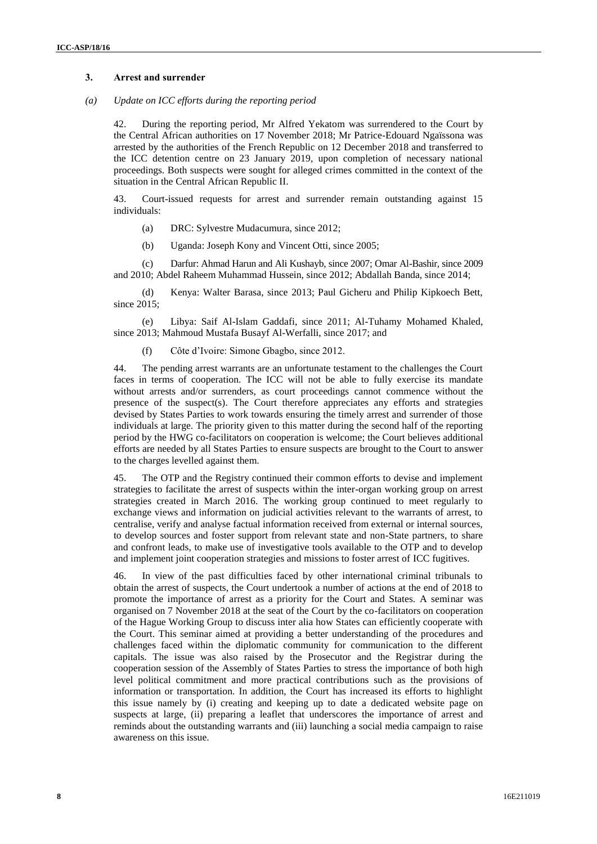## **3. Arrest and surrender**

#### *(a) Update on ICC efforts during the reporting period*

42. During the reporting period, Mr Alfred Yekatom was surrendered to the Court by the Central African authorities on 17 November 2018; Mr Patrice-Edouard Ngaïssona was arrested by the authorities of the French Republic on 12 December 2018 and transferred to the ICC detention centre on 23 January 2019, upon completion of necessary national proceedings. Both suspects were sought for alleged crimes committed in the context of the situation in the Central African Republic II.

43. Court-issued requests for arrest and surrender remain outstanding against 15 individuals:

- (a) DRC: Sylvestre Mudacumura, since 2012;
- (b) Uganda: Joseph Kony and Vincent Otti, since 2005;

(c) Darfur: Ahmad Harun and Ali Kushayb, since 2007; Omar Al-Bashir, since 2009 and 2010; Abdel Raheem Muhammad Hussein, since 2012; Abdallah Banda, since 2014;

(d) Kenya: Walter Barasa, since 2013; Paul Gicheru and Philip Kipkoech Bett, since 2015:

(e) Libya: Saif Al-Islam Gaddafi, since 2011; Al-Tuhamy Mohamed Khaled, since 2013; Mahmoud Mustafa Busayf Al-Werfalli, since 2017; and

(f) Côte d'Ivoire: Simone Gbagbo, since 2012.

44. The pending arrest warrants are an unfortunate testament to the challenges the Court faces in terms of cooperation. The ICC will not be able to fully exercise its mandate without arrests and/or surrenders, as court proceedings cannot commence without the presence of the suspect(s). The Court therefore appreciates any efforts and strategies devised by States Parties to work towards ensuring the timely arrest and surrender of those individuals at large. The priority given to this matter during the second half of the reporting period by the HWG co-facilitators on cooperation is welcome; the Court believes additional efforts are needed by all States Parties to ensure suspects are brought to the Court to answer to the charges levelled against them.

45. The OTP and the Registry continued their common efforts to devise and implement strategies to facilitate the arrest of suspects within the inter-organ working group on arrest strategies created in March 2016. The working group continued to meet regularly to exchange views and information on judicial activities relevant to the warrants of arrest, to centralise, verify and analyse factual information received from external or internal sources, to develop sources and foster support from relevant state and non-State partners, to share and confront leads, to make use of investigative tools available to the OTP and to develop and implement joint cooperation strategies and missions to foster arrest of ICC fugitives.

46. In view of the past difficulties faced by other international criminal tribunals to obtain the arrest of suspects, the Court undertook a number of actions at the end of 2018 to promote the importance of arrest as a priority for the Court and States. A seminar was organised on 7 November 2018 at the seat of the Court by the co-facilitators on cooperation of the Hague Working Group to discuss inter alia how States can efficiently cooperate with the Court. This seminar aimed at providing a better understanding of the procedures and challenges faced within the diplomatic community for communication to the different capitals. The issue was also raised by the Prosecutor and the Registrar during the cooperation session of the Assembly of States Parties to stress the importance of both high level political commitment and more practical contributions such as the provisions of information or transportation. In addition, the Court has increased its efforts to highlight this issue namely by (i) creating and keeping up to date a dedicated website page on suspects at large, (ii) preparing a leaflet that underscores the importance of arrest and reminds about the outstanding warrants and (iii) launching a social media campaign to raise awareness on this issue.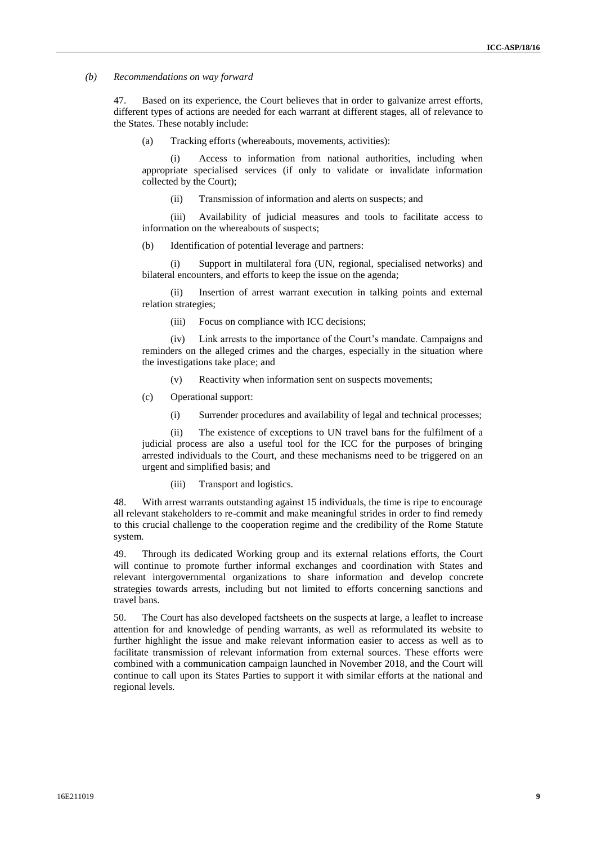#### *(b) Recommendations on way forward*

47. Based on its experience, the Court believes that in order to galvanize arrest efforts, different types of actions are needed for each warrant at different stages, all of relevance to the States. These notably include:

(a) Tracking efforts (whereabouts, movements, activities):

(i) Access to information from national authorities, including when appropriate specialised services (if only to validate or invalidate information collected by the Court);

(ii) Transmission of information and alerts on suspects; and

(iii) Availability of judicial measures and tools to facilitate access to information on the whereabouts of suspects;

(b) Identification of potential leverage and partners:

(i) Support in multilateral fora (UN, regional, specialised networks) and bilateral encounters, and efforts to keep the issue on the agenda;

(ii) Insertion of arrest warrant execution in talking points and external relation strategies;

(iii) Focus on compliance with ICC decisions;

(iv) Link arrests to the importance of the Court's mandate. Campaigns and reminders on the alleged crimes and the charges, especially in the situation where the investigations take place; and

(v) Reactivity when information sent on suspects movements;

- (c) Operational support:
	- (i) Surrender procedures and availability of legal and technical processes;

(ii) The existence of exceptions to UN travel bans for the fulfilment of a judicial process are also a useful tool for the ICC for the purposes of bringing arrested individuals to the Court, and these mechanisms need to be triggered on an urgent and simplified basis; and

(iii) Transport and logistics.

48. With arrest warrants outstanding against 15 individuals, the time is ripe to encourage all relevant stakeholders to re-commit and make meaningful strides in order to find remedy to this crucial challenge to the cooperation regime and the credibility of the Rome Statute system.

49. Through its dedicated Working group and its external relations efforts, the Court will continue to promote further informal exchanges and coordination with States and relevant intergovernmental organizations to share information and develop concrete strategies towards arrests, including but not limited to efforts concerning sanctions and travel bans.

50. The Court has also developed factsheets on the suspects at large, a leaflet to increase attention for and knowledge of pending warrants, as well as reformulated its website to further highlight the issue and make relevant information easier to access as well as to facilitate transmission of relevant information from external sources. These efforts were combined with a communication campaign launched in November 2018, and the Court will continue to call upon its States Parties to support it with similar efforts at the national and regional levels.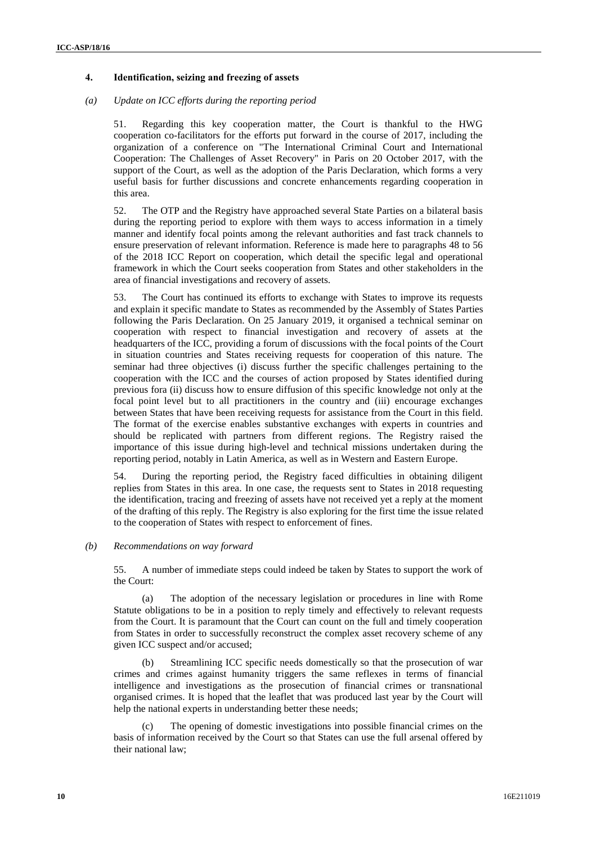## **4. Identification, seizing and freezing of assets**

#### *(a) Update on ICC efforts during the reporting period*

51. Regarding this key cooperation matter, the Court is thankful to the HWG cooperation co-facilitators for the efforts put forward in the course of 2017, including the organization of a conference on "The International Criminal Court and International Cooperation: The Challenges of Asset Recovery" in Paris on 20 October 2017, with the support of the Court, as well as the adoption of the Paris Declaration, which forms a very useful basis for further discussions and concrete enhancements regarding cooperation in this area.

52. The OTP and the Registry have approached several State Parties on a bilateral basis during the reporting period to explore with them ways to access information in a timely manner and identify focal points among the relevant authorities and fast track channels to ensure preservation of relevant information. Reference is made here to paragraphs 48 to 56 of the 2018 ICC Report on cooperation, which detail the specific legal and operational framework in which the Court seeks cooperation from States and other stakeholders in the area of financial investigations and recovery of assets.

53. The Court has continued its efforts to exchange with States to improve its requests and explain it specific mandate to States as recommended by the Assembly of States Parties following the Paris Declaration. On 25 January 2019, it organised a technical seminar on cooperation with respect to financial investigation and recovery of assets at the headquarters of the ICC, providing a forum of discussions with the focal points of the Court in situation countries and States receiving requests for cooperation of this nature. The seminar had three objectives (i) discuss further the specific challenges pertaining to the cooperation with the ICC and the courses of action proposed by States identified during previous fora (ii) discuss how to ensure diffusion of this specific knowledge not only at the focal point level but to all practitioners in the country and (iii) encourage exchanges between States that have been receiving requests for assistance from the Court in this field. The format of the exercise enables substantive exchanges with experts in countries and should be replicated with partners from different regions. The Registry raised the importance of this issue during high-level and technical missions undertaken during the reporting period, notably in Latin America, as well as in Western and Eastern Europe.

54. During the reporting period, the Registry faced difficulties in obtaining diligent replies from States in this area. In one case, the requests sent to States in 2018 requesting the identification, tracing and freezing of assets have not received yet a reply at the moment of the drafting of this reply. The Registry is also exploring for the first time the issue related to the cooperation of States with respect to enforcement of fines.

#### *(b) Recommendations on way forward*

55. A number of immediate steps could indeed be taken by States to support the work of the Court:

(a) The adoption of the necessary legislation or procedures in line with Rome Statute obligations to be in a position to reply timely and effectively to relevant requests from the Court. It is paramount that the Court can count on the full and timely cooperation from States in order to successfully reconstruct the complex asset recovery scheme of any given ICC suspect and/or accused;

(b) Streamlining ICC specific needs domestically so that the prosecution of war crimes and crimes against humanity triggers the same reflexes in terms of financial intelligence and investigations as the prosecution of financial crimes or transnational organised crimes. It is hoped that the leaflet that was produced last year by the Court will help the national experts in understanding better these needs;

The opening of domestic investigations into possible financial crimes on the basis of information received by the Court so that States can use the full arsenal offered by their national law;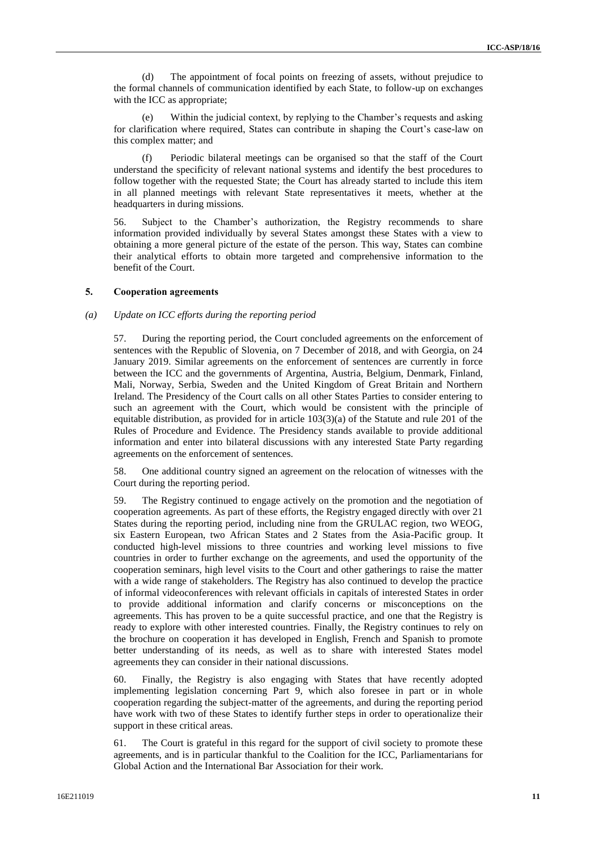(d) The appointment of focal points on freezing of assets, without prejudice to the formal channels of communication identified by each State, to follow-up on exchanges with the ICC as appropriate;

Within the judicial context, by replying to the Chamber's requests and asking for clarification where required, States can contribute in shaping the Court's case-law on this complex matter; and

(f) Periodic bilateral meetings can be organised so that the staff of the Court understand the specificity of relevant national systems and identify the best procedures to follow together with the requested State; the Court has already started to include this item in all planned meetings with relevant State representatives it meets, whether at the headquarters in during missions.

56. Subject to the Chamber's authorization, the Registry recommends to share information provided individually by several States amongst these States with a view to obtaining a more general picture of the estate of the person. This way, States can combine their analytical efforts to obtain more targeted and comprehensive information to the benefit of the Court.

## **5. Cooperation agreements**

## *(a) Update on ICC efforts during the reporting period*

57. During the reporting period, the Court concluded agreements on the enforcement of sentences with the Republic of Slovenia, on 7 December of 2018, and with Georgia, on 24 January 2019. Similar agreements on the enforcement of sentences are currently in force between the ICC and the governments of Argentina, Austria, Belgium, Denmark, Finland, Mali, Norway, Serbia, Sweden and the United Kingdom of Great Britain and Northern Ireland. The Presidency of the Court calls on all other States Parties to consider entering to such an agreement with the Court, which would be consistent with the principle of equitable distribution, as provided for in article 103(3)(a) of the Statute and rule 201 of the Rules of Procedure and Evidence. The Presidency stands available to provide additional information and enter into bilateral discussions with any interested State Party regarding agreements on the enforcement of sentences.

58. One additional country signed an agreement on the relocation of witnesses with the Court during the reporting period.

59. The Registry continued to engage actively on the promotion and the negotiation of cooperation agreements. As part of these efforts, the Registry engaged directly with over 21 States during the reporting period, including nine from the GRULAC region, two WEOG, six Eastern European, two African States and 2 States from the Asia-Pacific group. It conducted high-level missions to three countries and working level missions to five countries in order to further exchange on the agreements, and used the opportunity of the cooperation seminars, high level visits to the Court and other gatherings to raise the matter with a wide range of stakeholders. The Registry has also continued to develop the practice of informal videoconferences with relevant officials in capitals of interested States in order to provide additional information and clarify concerns or misconceptions on the agreements. This has proven to be a quite successful practice, and one that the Registry is ready to explore with other interested countries. Finally, the Registry continues to rely on the brochure on cooperation it has developed in English, French and Spanish to promote better understanding of its needs, as well as to share with interested States model agreements they can consider in their national discussions.

60. Finally, the Registry is also engaging with States that have recently adopted implementing legislation concerning Part 9, which also foresee in part or in whole cooperation regarding the subject-matter of the agreements, and during the reporting period have work with two of these States to identify further steps in order to operationalize their support in these critical areas.

61. The Court is grateful in this regard for the support of civil society to promote these agreements, and is in particular thankful to the Coalition for the ICC, Parliamentarians for Global Action and the International Bar Association for their work.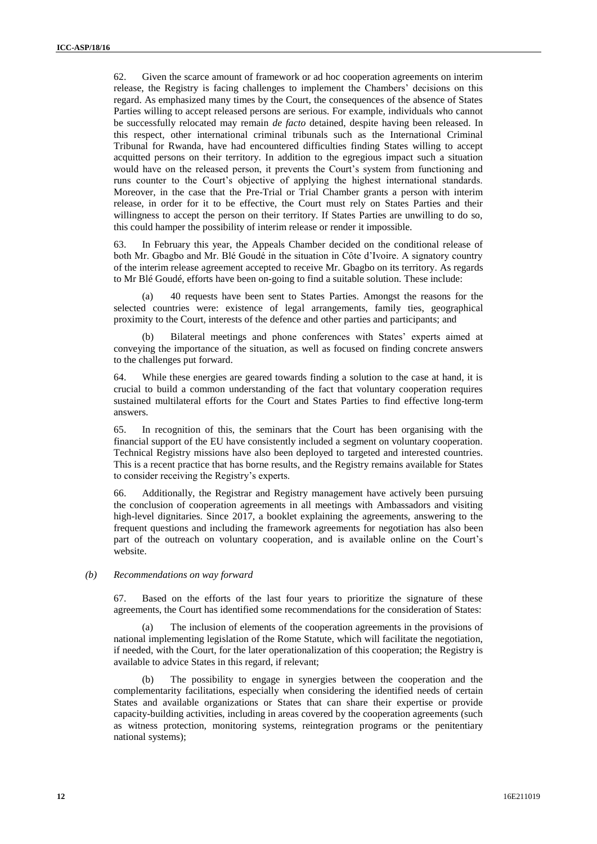62. Given the scarce amount of framework or ad hoc cooperation agreements on interim release, the Registry is facing challenges to implement the Chambers' decisions on this regard. As emphasized many times by the Court, the consequences of the absence of States Parties willing to accept released persons are serious. For example, individuals who cannot be successfully relocated may remain *de facto* detained, despite having been released. In this respect, other international criminal tribunals such as the International Criminal Tribunal for Rwanda, have had encountered difficulties finding States willing to accept acquitted persons on their territory. In addition to the egregious impact such a situation would have on the released person, it prevents the Court's system from functioning and runs counter to the Court's objective of applying the highest international standards. Moreover, in the case that the Pre-Trial or Trial Chamber grants a person with interim release, in order for it to be effective, the Court must rely on States Parties and their willingness to accept the person on their territory. If States Parties are unwilling to do so, this could hamper the possibility of interim release or render it impossible.

63. In February this year, the Appeals Chamber decided on the conditional release of both Mr. Gbagbo and Mr. Blé Goudé in the situation in Côte d'Ivoire. A signatory country of the interim release agreement accepted to receive Mr. Gbagbo on its territory. As regards to Mr Blé Goudé, efforts have been on-going to find a suitable solution. These include:

(a) 40 requests have been sent to States Parties. Amongst the reasons for the selected countries were: existence of legal arrangements, family ties, geographical proximity to the Court, interests of the defence and other parties and participants; and

(b) Bilateral meetings and phone conferences with States' experts aimed at conveying the importance of the situation, as well as focused on finding concrete answers to the challenges put forward.

64. While these energies are geared towards finding a solution to the case at hand, it is crucial to build a common understanding of the fact that voluntary cooperation requires sustained multilateral efforts for the Court and States Parties to find effective long-term answers.

65. In recognition of this, the seminars that the Court has been organising with the financial support of the EU have consistently included a segment on voluntary cooperation. Technical Registry missions have also been deployed to targeted and interested countries. This is a recent practice that has borne results, and the Registry remains available for States to consider receiving the Registry's experts.

66. Additionally, the Registrar and Registry management have actively been pursuing the conclusion of cooperation agreements in all meetings with Ambassadors and visiting high-level dignitaries. Since 2017, a booklet explaining the agreements, answering to the frequent questions and including the framework agreements for negotiation has also been part of the outreach on voluntary cooperation, and is available online on the Court's website.

#### *(b) Recommendations on way forward*

67. Based on the efforts of the last four years to prioritize the signature of these agreements, the Court has identified some recommendations for the consideration of States:

The inclusion of elements of the cooperation agreements in the provisions of national implementing legislation of the Rome Statute, which will facilitate the negotiation, if needed, with the Court, for the later operationalization of this cooperation; the Registry is available to advice States in this regard, if relevant;

(b) The possibility to engage in synergies between the cooperation and the complementarity facilitations, especially when considering the identified needs of certain States and available organizations or States that can share their expertise or provide capacity-building activities, including in areas covered by the cooperation agreements (such as witness protection, monitoring systems, reintegration programs or the penitentiary national systems);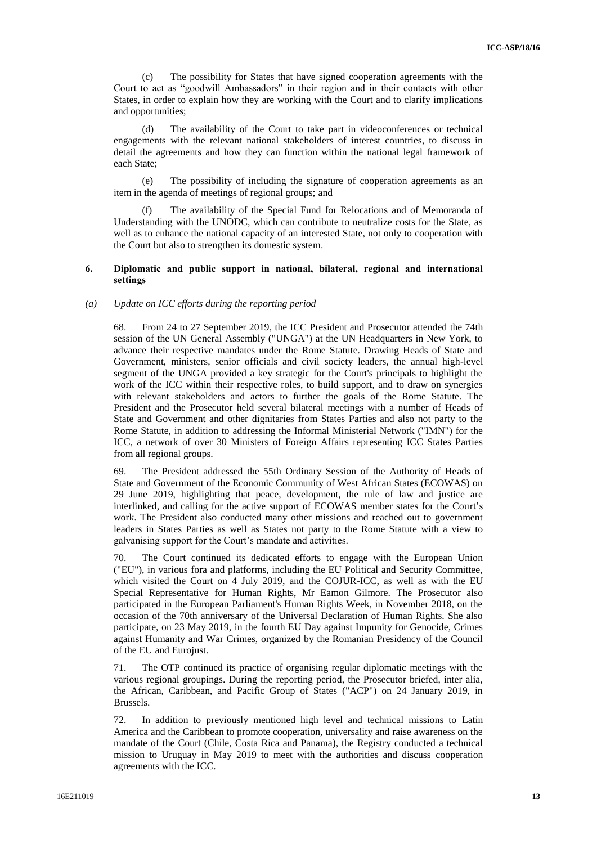(c) The possibility for States that have signed cooperation agreements with the Court to act as "goodwill Ambassadors" in their region and in their contacts with other States, in order to explain how they are working with the Court and to clarify implications and opportunities;

(d) The availability of the Court to take part in videoconferences or technical engagements with the relevant national stakeholders of interest countries, to discuss in detail the agreements and how they can function within the national legal framework of each State;

(e) The possibility of including the signature of cooperation agreements as an item in the agenda of meetings of regional groups; and

(f) The availability of the Special Fund for Relocations and of Memoranda of Understanding with the UNODC, which can contribute to neutralize costs for the State, as well as to enhance the national capacity of an interested State, not only to cooperation with the Court but also to strengthen its domestic system.

### **6. Diplomatic and public support in national, bilateral, regional and international settings**

#### *(a) Update on ICC efforts during the reporting period*

68. From 24 to 27 September 2019, the ICC President and Prosecutor attended the 74th session of the UN General Assembly ("UNGA") at the UN Headquarters in New York, to advance their respective mandates under the Rome Statute. Drawing Heads of State and Government, ministers, senior officials and civil society leaders, the annual high-level segment of the UNGA provided a key strategic for the Court's principals to highlight the work of the ICC within their respective roles, to build support, and to draw on synergies with relevant stakeholders and actors to further the goals of the Rome Statute. The President and the Prosecutor held several bilateral meetings with a number of Heads of State and Government and other dignitaries from States Parties and also not party to the Rome Statute, in addition to addressing the Informal Ministerial Network ("IMN") for the ICC, a network of over 30 Ministers of Foreign Affairs representing ICC States Parties from all regional groups.

69. The President addressed the 55th Ordinary Session of the Authority of Heads of State and Government of the Economic Community of West African States (ECOWAS) on 29 June 2019, highlighting that peace, development, the rule of law and justice are interlinked, and calling for the active support of ECOWAS member states for the Court's work. The President also conducted many other missions and reached out to government leaders in States Parties as well as States not party to the Rome Statute with a view to galvanising support for the Court's mandate and activities.

70. The Court continued its dedicated efforts to engage with the European Union ("EU"), in various fora and platforms, including the EU Political and Security Committee, which visited the Court on 4 July 2019, and the COJUR-ICC, as well as with the EU Special Representative for Human Rights, Mr Eamon Gilmore. The Prosecutor also participated in the European Parliament's Human Rights Week, in November 2018, on the occasion of the 70th anniversary of the Universal Declaration of Human Rights. She also participate, on 23 May 2019, in the fourth EU Day against Impunity for Genocide, Crimes against Humanity and War Crimes, organized by the Romanian Presidency of the Council of the EU and Eurojust.

71. The OTP continued its practice of organising regular diplomatic meetings with the various regional groupings. During the reporting period, the Prosecutor briefed, inter alia, the African, Caribbean, and Pacific Group of States ("ACP") on 24 January 2019, in Brussels.

72. In addition to previously mentioned high level and technical missions to Latin America and the Caribbean to promote cooperation, universality and raise awareness on the mandate of the Court (Chile, Costa Rica and Panama), the Registry conducted a technical mission to Uruguay in May 2019 to meet with the authorities and discuss cooperation agreements with the ICC.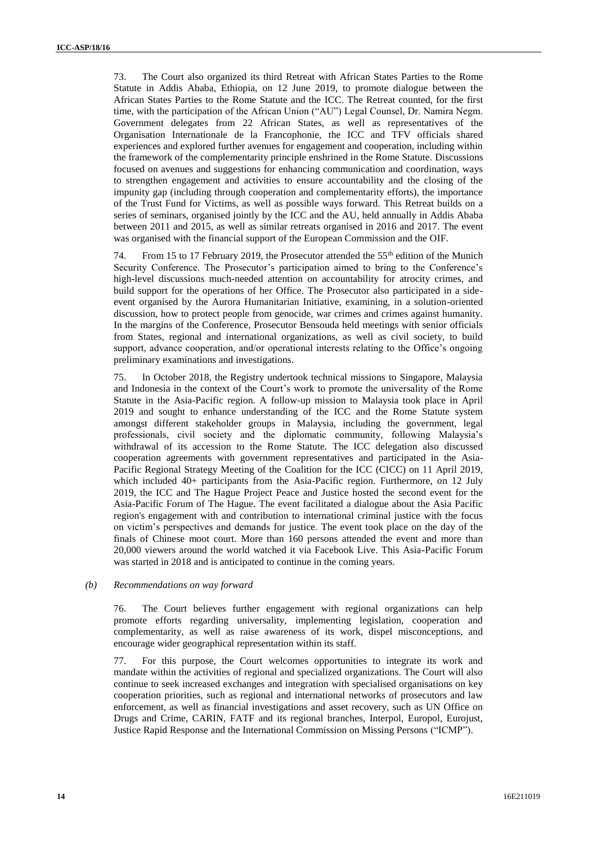73. The Court also organized its third Retreat with African States Parties to the Rome Statute in Addis Ababa, Ethiopia, on 12 June 2019, to promote dialogue between the African States Parties to the Rome Statute and the ICC. The Retreat counted, for the first time, with the participation of the African Union ("AU") Legal Counsel, Dr. Namira Negm. Government delegates from 22 African States, as well as representatives of the Organisation Internationale de la Francophonie, the ICC and TFV officials shared experiences and explored further avenues for engagement and cooperation, including within the framework of the complementarity principle enshrined in the Rome Statute. Discussions focused on avenues and suggestions for enhancing communication and coordination, ways to strengthen engagement and activities to ensure accountability and the closing of the impunity gap (including through cooperation and complementarity efforts), the importance of the Trust Fund for Victims, as well as possible ways forward. This Retreat builds on a series of seminars, organised jointly by the ICC and the AU, held annually in Addis Ababa between 2011 and 2015, as well as similar retreats organised in 2016 and 2017. The event was organised with the financial support of the European Commission and the OIF.

74. From 15 to 17 February 2019, the Prosecutor attended the  $55<sup>th</sup>$  edition of the Munich Security Conference. The Prosecutor's participation aimed to bring to the Conference's high-level discussions much-needed attention on accountability for atrocity crimes, and build support for the operations of her Office. The Prosecutor also participated in a sideevent organised by the Aurora Humanitarian Initiative, examining, in a solution-oriented discussion, how to protect people from genocide, war crimes and crimes against humanity. In the margins of the Conference, Prosecutor Bensouda held meetings with senior officials from States, regional and international organizations, as well as civil society, to build support, advance cooperation, and/or operational interests relating to the Office's ongoing preliminary examinations and investigations.

75. In October 2018, the Registry undertook technical missions to Singapore, Malaysia and Indonesia in the context of the Court's work to promote the universality of the Rome Statute in the Asia-Pacific region. A follow-up mission to Malaysia took place in April 2019 and sought to enhance understanding of the ICC and the Rome Statute system amongst different stakeholder groups in Malaysia, including the government, legal professionals, civil society and the diplomatic community, following Malaysia's withdrawal of its accession to the Rome Statute. The ICC delegation also discussed cooperation agreements with government representatives and participated in the Asia-Pacific Regional Strategy Meeting of the Coalition for the ICC (CICC) on 11 April 2019, which included 40+ participants from the Asia-Pacific region. Furthermore, on 12 July 2019, the ICC and The Hague Project Peace and Justice hosted the second event for the Asia-Pacific Forum of The Hague. The event facilitated a dialogue about the Asia Pacific region's engagement with and contribution to international criminal justice with the focus on victim's perspectives and demands for justice. The event took place on the day of the finals of Chinese moot court. More than 160 persons attended the event and more than 20,000 viewers around the world watched it via Facebook Live. This Asia-Pacific Forum was started in 2018 and is anticipated to continue in the coming years.

## *(b) Recommendations on way forward*

76. The Court believes further engagement with regional organizations can help promote efforts regarding universality, implementing legislation, cooperation and complementarity, as well as raise awareness of its work, dispel misconceptions, and encourage wider geographical representation within its staff.

77. For this purpose, the Court welcomes opportunities to integrate its work and mandate within the activities of regional and specialized organizations. The Court will also continue to seek increased exchanges and integration with specialised organisations on key cooperation priorities, such as regional and international networks of prosecutors and law enforcement, as well as financial investigations and asset recovery, such as UN Office on Drugs and Crime, CARIN, FATF and its regional branches, Interpol, Europol, Eurojust, Justice Rapid Response and the International Commission on Missing Persons ("ICMP").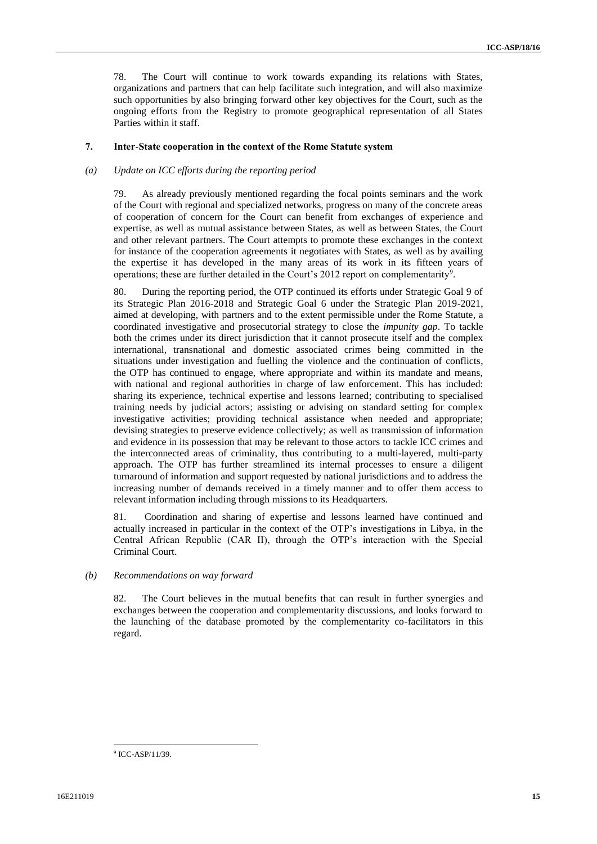78. The Court will continue to work towards expanding its relations with States, organizations and partners that can help facilitate such integration, and will also maximize such opportunities by also bringing forward other key objectives for the Court, such as the ongoing efforts from the Registry to promote geographical representation of all States Parties within it staff.

## **7. Inter-State cooperation in the context of the Rome Statute system**

### *(a) Update on ICC efforts during the reporting period*

79. As already previously mentioned regarding the focal points seminars and the work of the Court with regional and specialized networks, progress on many of the concrete areas of cooperation of concern for the Court can benefit from exchanges of experience and expertise, as well as mutual assistance between States, as well as between States, the Court and other relevant partners. The Court attempts to promote these exchanges in the context for instance of the cooperation agreements it negotiates with States, as well as by availing the expertise it has developed in the many areas of its work in its fifteen years of operations; these are further detailed in the Court's 2012 report on complementarity<sup>9</sup>.

80. During the reporting period, the OTP continued its efforts under Strategic Goal 9 of its Strategic Plan 2016-2018 and Strategic Goal 6 under the Strategic Plan 2019-2021, aimed at developing, with partners and to the extent permissible under the Rome Statute, a coordinated investigative and prosecutorial strategy to close the *impunity gap*. To tackle both the crimes under its direct jurisdiction that it cannot prosecute itself and the complex international, transnational and domestic associated crimes being committed in the situations under investigation and fuelling the violence and the continuation of conflicts, the OTP has continued to engage, where appropriate and within its mandate and means, with national and regional authorities in charge of law enforcement. This has included: sharing its experience, technical expertise and lessons learned; contributing to specialised training needs by judicial actors; assisting or advising on standard setting for complex investigative activities; providing technical assistance when needed and appropriate; devising strategies to preserve evidence collectively; as well as transmission of information and evidence in its possession that may be relevant to those actors to tackle ICC crimes and the interconnected areas of criminality, thus contributing to a multi-layered, multi-party approach. The OTP has further streamlined its internal processes to ensure a diligent turnaround of information and support requested by national jurisdictions and to address the increasing number of demands received in a timely manner and to offer them access to relevant information including through missions to its Headquarters.

81. Coordination and sharing of expertise and lessons learned have continued and actually increased in particular in the context of the OTP's investigations in Libya, in the Central African Republic (CAR II), through the OTP's interaction with the Special Criminal Court.

#### *(b) Recommendations on way forward*

82. The Court believes in the mutual benefits that can result in further synergies and exchanges between the cooperation and complementarity discussions, and looks forward to the launching of the database promoted by the complementarity co-facilitators in this regard.

 $\overline{a}$ <sup>9</sup> ICC-ASP/11/39.